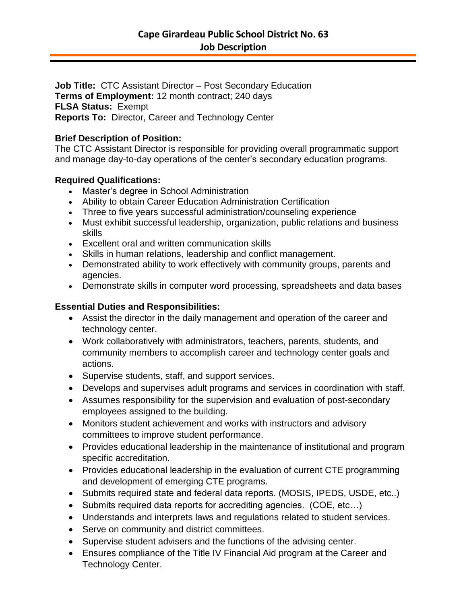**Job Title:** CTC Assistant Director – Post Secondary Education **Terms of Employment:** 12 month contract; 240 days **FLSA Status:** Exempt **Reports To:** Director, Career and Technology Center

### **Brief Description of Position:**

The CTC Assistant Director is responsible for providing overall programmatic support and manage day-to-day operations of the center's secondary education programs.

# **Required Qualifications:**

- Master's degree in School Administration
- Ability to obtain Career Education Administration Certification
- Three to five years successful administration/counseling experience
- Must exhibit successful leadership, organization, public relations and business skills
- Excellent oral and written communication skills
- Skills in human relations, leadership and conflict management.
- Demonstrated ability to work effectively with community groups, parents and agencies.
- Demonstrate skills in computer word processing, spreadsheets and data bases

# **Essential Duties and Responsibilities:**

- Assist the director in the daily management and operation of the career and technology center.
- Work collaboratively with administrators, teachers, parents, students, and community members to accomplish career and technology center goals and actions.
- Supervise students, staff, and support services.
- Develops and supervises adult programs and services in coordination with staff.
- Assumes responsibility for the supervision and evaluation of post-secondary employees assigned to the building.
- Monitors student achievement and works with instructors and advisory committees to improve student performance.
- Provides educational leadership in the maintenance of institutional and program specific accreditation.
- Provides educational leadership in the evaluation of current CTE programming and development of emerging CTE programs.
- Submits required state and federal data reports. (MOSIS, IPEDS, USDE, etc..)
- Submits required data reports for accrediting agencies. (COE, etc...)
- Understands and interprets laws and regulations related to student services.
- Serve on community and district committees.
- Supervise student advisers and the functions of the advising center.
- Ensures compliance of the Title IV Financial Aid program at the Career and Technology Center.